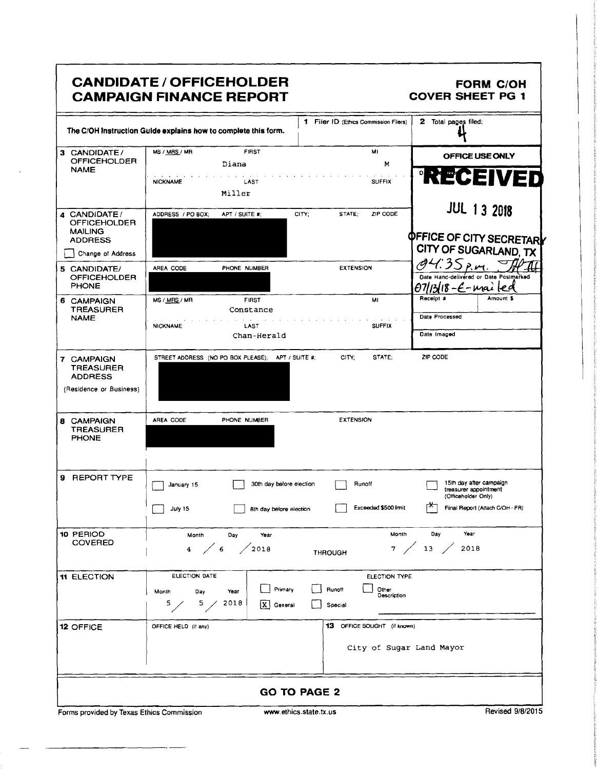| <b>CANDIDATE / OFFICEHOLDER</b> |  |
|---------------------------------|--|
| <b>CAMPAIGN FINANCE REPORT</b>  |  |

### FORM C/OH COVER SHEET PG 1

|                                       | The C/OH Instruction Guide explains how to complete this form. | 1 Filer ID (Ethics Commission Filers)           | 2 Total pages filed:                              |
|---------------------------------------|----------------------------------------------------------------|-------------------------------------------------|---------------------------------------------------|
| 3 CANDIDATE/                          | <b>FIRST</b><br>MS / MRS / MR                                  | MI                                              | OFFICE USE ONLY                                   |
| <b>OFFICEHOLDER</b><br><b>NAME</b>    | Diana                                                          | M                                               |                                                   |
|                                       | <b>NICKNAME</b><br>LAST                                        | <b>SUFFIX</b>                                   | <b>RECEIVED</b>                                   |
|                                       | Miller                                                         |                                                 |                                                   |
|                                       |                                                                |                                                 | <b>JUL 13 2018</b>                                |
| 4 CANDIDATE/<br><b>OFFICEHOLDER</b>   | APT / SUITE #:<br>ADDRESS / PO BOX;                            | ZIP CODE<br>CITY:<br>STATE;                     |                                                   |
| <b>MAILING</b>                        |                                                                |                                                 |                                                   |
| <b>ADDRESS</b>                        |                                                                |                                                 | <b>OFFICE OF CITY SECRETARY</b>                   |
| Change of Address                     |                                                                |                                                 | CITY OF SUGARLAND, TX                             |
| 5 CANDIDATE/                          | PHONE NUMBER<br>AREA CODE                                      | <b>EXTENSION</b>                                | 35 p.m.<br>Date Hand-delivered or Date Postmarked |
| <b>OFFICEHOLDER</b><br><b>PHONE</b>   |                                                                |                                                 | 18-E-mailed                                       |
| 6 CAMPAIGN                            | MS / MRS / MR<br><b>FIRST</b>                                  | MI                                              | Amount \$<br>Receipt #                            |
| <b>TREASURER</b>                      | Constance                                                      |                                                 |                                                   |
| <b>NAME</b>                           | <b>NICKNAME</b><br>LAST                                        | <b>SUFFIX</b>                                   | Date Processed                                    |
|                                       | Chan-Herald                                                    |                                                 | Date Imaged                                       |
|                                       |                                                                |                                                 |                                                   |
| 7 CAMPAIGN                            | STREET ADDRESS (NO PO BOX PLEASE); APT / SUITE #;              | CITY:<br>STATE:                                 | ZIP CODE                                          |
| <b>TREASURER</b><br><b>ADDRESS</b>    |                                                                |                                                 |                                                   |
| (Residence or Business)               |                                                                |                                                 |                                                   |
|                                       |                                                                |                                                 |                                                   |
|                                       |                                                                |                                                 |                                                   |
| <b>8 CAMPAIGN</b><br><b>TREASURER</b> | AREA CODE<br>PHONE NUMBER                                      | <b>EXTENSION</b>                                |                                                   |
| <b>PHONE</b>                          |                                                                |                                                 |                                                   |
|                                       |                                                                |                                                 |                                                   |
|                                       |                                                                |                                                 |                                                   |
| 9 REPORT TYPE                         | January 15                                                     | Runoff<br>30th day before election              | 15th day after campaign                           |
|                                       |                                                                |                                                 | treasurer appointment<br>(Officeholder Only)      |
|                                       | July 15                                                        | Exceeded \$500 limit<br>8th day belore election | rѫ<br>Final Report (Attach C/OH - FR)             |
|                                       |                                                                |                                                 |                                                   |
| 10 PERIOD                             | Day<br>Year<br>Month                                           | Month                                           | Day<br>Year                                       |
| <b>COVERED</b>                        | 4 / 6 / 2018                                                   |                                                 | 7 / 13 / 2018                                     |
|                                       |                                                                | <b>THROUGH</b>                                  |                                                   |
|                                       | ELECTION DATE                                                  |                                                 |                                                   |
| <b>11 ELECTION</b>                    |                                                                | ELECTION TYPE                                   |                                                   |
|                                       | Month<br>Day<br>Year                                           | Primary<br>Runoff<br>Other<br>Description       |                                                   |
|                                       | 2018<br>5/<br>5 <sub>1</sub><br> x                             | General<br>Special                              |                                                   |
| 12 OFFICE                             | OFFICE HELD (if any)                                           | 13 OFFICE SOUGHT (if known)                     |                                                   |
|                                       |                                                                |                                                 |                                                   |
|                                       |                                                                | City of Sugar Land Mayor                        |                                                   |
|                                       |                                                                |                                                 |                                                   |
|                                       |                                                                |                                                 |                                                   |
|                                       |                                                                |                                                 |                                                   |
|                                       |                                                                | <b>GO TO PAGE 2</b>                             |                                                   |

Forms provided by Texas Ethics Commission www.ethics.state.tx.us Revised 9/8/2015

i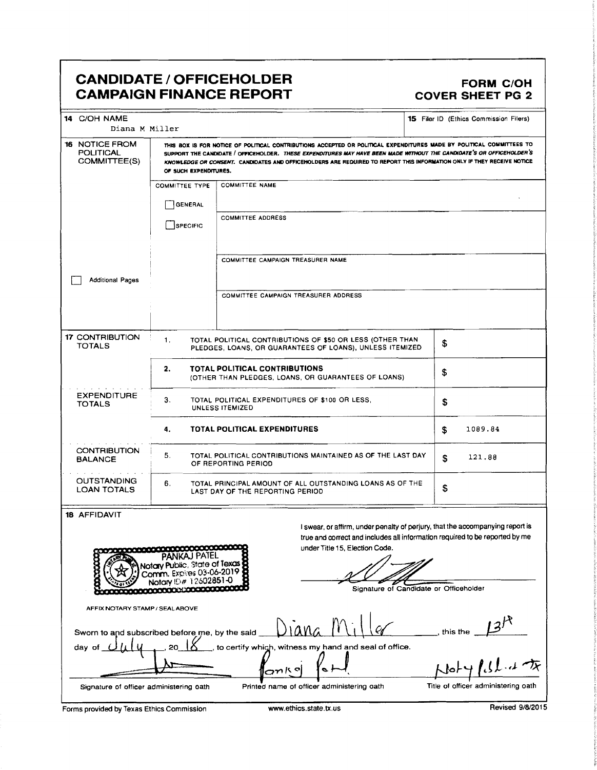# CANDIDATE / OFFICEHOLDER<br>CAMPAIGN FINANCE REPORT COVER SHEET PG 2 **CAMPAIGN FINANCE REPORT**

| 14 C/OH NAME<br>Diana M Miller                                                                                   |                                                                                                  |                                                                                                                                                                                                                                                                                                                                                                         |                            | 15 Filer ID (Ethics Commission Filers) |  |
|------------------------------------------------------------------------------------------------------------------|--------------------------------------------------------------------------------------------------|-------------------------------------------------------------------------------------------------------------------------------------------------------------------------------------------------------------------------------------------------------------------------------------------------------------------------------------------------------------------------|----------------------------|----------------------------------------|--|
| 16 NOTICE FROM<br><b>POLITICAL</b><br>COMMITTEE(S)                                                               | OF SUCH EXPENDITURES.                                                                            | THIS BOX IS FOR NOTICE OF POLITICAL CONTRIBUTIONS ACCEPTED OR POLITICAL EXPENDITURES MADE BY POLITICAL COMMITTEES TO<br>SUPPORT THE CANDIDATE / OFFICEHOLDER. THESE EXPENDITURES MAY HAVE BEEN MADE WITHOUT THE CANDIDATE'S OR OFFICEHOLDER'S<br>KNOWLEDGE OR CONSENT. CANDIDATES AND OFFICEHOLDERS ARE REQUIRED TO REPORT THIS INFORMATION ONLY IF THEY RECEIVE NOTICE |                            |                                        |  |
|                                                                                                                  | <b>COMMITTEE TYPE</b><br>GENERAL<br>SPECIFIC                                                     | <b>COMMITTEE NAME</b><br><b>COMMITTEE ADDRESS</b>                                                                                                                                                                                                                                                                                                                       |                            |                                        |  |
| <b>Additional Pages</b>                                                                                          |                                                                                                  | COMMITTEE CAMPAIGN TREASURER NAME                                                                                                                                                                                                                                                                                                                                       |                            |                                        |  |
|                                                                                                                  |                                                                                                  | COMMITTEE CAMPAIGN TREASURER ADDRESS                                                                                                                                                                                                                                                                                                                                    |                            |                                        |  |
| <b>17 CONTRIBUTION</b><br><b>TOTALS</b>                                                                          | 1.                                                                                               | TOTAL POLITICAL CONTRIBUTIONS OF \$50 OR LESS (OTHER THAN<br>PLEDGES, LOANS, OR GUARANTEES OF LOANS), UNLESS ITEMIZED                                                                                                                                                                                                                                                   | \$                         |                                        |  |
|                                                                                                                  | 2.                                                                                               | <b>TOTAL POLITICAL CONTRIBUTIONS</b><br>(OTHER THAN PLEDGES, LOANS, OR GUARANTEES OF LOANS)                                                                                                                                                                                                                                                                             | \$                         |                                        |  |
| <b>EXPENDITURE</b><br><b>TOTALS</b>                                                                              | 3.                                                                                               | TOTAL POLITICAL EXPENDITURES OF \$100 OR LESS,<br>UNLESS ITEMIZED                                                                                                                                                                                                                                                                                                       | \$                         |                                        |  |
|                                                                                                                  | 4.                                                                                               | <b>TOTAL POLITICAL EXPENDITURES</b>                                                                                                                                                                                                                                                                                                                                     | \$                         | 1089.84                                |  |
| <b>CONTRIBUTION</b><br><b>BALANCE</b>                                                                            | 5.                                                                                               | TOTAL POLITICAL CONTRIBUTIONS MAINTAINED AS OF THE LAST DAY<br>OF REPORTING PERIOD                                                                                                                                                                                                                                                                                      | \$                         | 121.88                                 |  |
| <b>OUTSTANDING</b><br><b>LOAN TOTALS</b>                                                                         | 6.                                                                                               | TOTAL PRINCIPAL AMOUNT OF ALL OUTSTANDING LOANS AS OF THE<br>LAST DAY OF THE REPORTING PERIOD                                                                                                                                                                                                                                                                           | \$                         |                                        |  |
| 18 AFFIDAVIT<br>É<br>AFFIX NOTARY STAMP / SEAL ABOVE<br>Sworn to and subscribed before me, by the said<br>day of | (A.I PAIEL<br>Notary Public, State of Texas<br>Comm. Expires 03-06-2019<br>Notary ID# 12502851-0 | I swear, or affirm, under penalty of perjury, that the accompanying report is<br>true and correct and includes all information required to be reported by me<br>under Title 15, Election Code.<br>Signature of Candidate or Officeholder<br>to certify which, witness my hand and seal of office.<br>っかいっ                                                               | this the<br>$J$ o $\vdash$ |                                        |  |
| Signature of officer administering oath                                                                          |                                                                                                  | Printed name of officer administering oath                                                                                                                                                                                                                                                                                                                              |                            | Title of officer administering oath    |  |

Forms provided by Texas Ethics Commission www.ethics.state.tx.us Revised 9/8/2015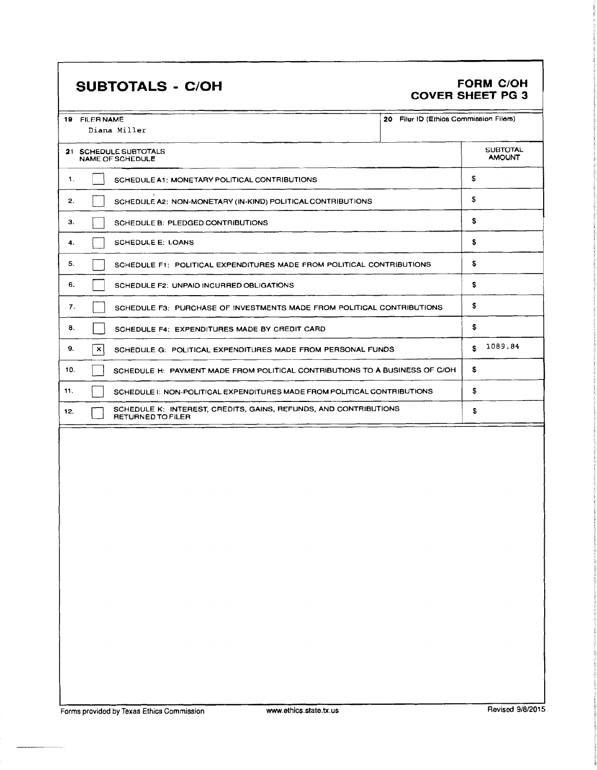# SUBTOTALS - C/OH FORM C/OH

# COVER SHEET PG 3

|     | <b>19 FILER NAME</b><br>Diana Miller                                                         | 20 Filer ID (Ethios Commission Filers) |                                  |
|-----|----------------------------------------------------------------------------------------------|----------------------------------------|----------------------------------|
|     | 21 SCHEDULE SUBTOTALS<br>NAME OF SCHEDULE                                                    |                                        | <b>SUBTOTAL</b><br><b>AMOUNT</b> |
| 1.  | SCHEDULE A1: MONETARY POLITICAL CONTRIBUTIONS                                                |                                        | S                                |
| 2.  | SCHEDULE A2: NON-MONETARY (IN-KIND) POLITICAL CONTRIBUTIONS                                  |                                        |                                  |
| З.  | SCHEDULE B: PLEDGED CONTRIBUTIONS                                                            |                                        |                                  |
| 4.  | <b>SCHEDULE E: LOANS</b>                                                                     |                                        |                                  |
| 5.  | SCHEDULE F1: POLITICAL EXPENDITURES MADE FROM POLITICAL CONTRIBUTIONS                        |                                        | s                                |
| 6.  | SCHEDULE F2: UNPAID INCURRED OBLIGATIONS                                                     |                                        | \$                               |
| 7.  | SCHEDULE F3: PURCHASE OF INVESTMENTS MADE FROM POLITICAL CONTRIBUTIONS                       |                                        |                                  |
| 8.  | SCHEDULE F4: EXPENDITURES MADE BY CREDIT CARD                                                |                                        |                                  |
| 9.  | $\mathbf{x}$<br>SCHEDULE G. POLITICAL EXPENDITURES MADE FROM PERSONAL FUNDS                  |                                        |                                  |
| 10. | SCHEDULE H: PAYMENT MADE FROM POLITICAL CONTRIBUTIONS TO A BUSINESS OF C/OH                  |                                        | s                                |
| 11. | SCHEDULE 1: NON-POLITICAL EXPENDITURES MADE FROM POLITICAL CONTRIBUTIONS                     |                                        | \$                               |
| 12. | SCHEDULE K: INTEREST, CREDITS, GAINS, REFUNDS, AND CONTRIBUTIONS<br><b>RETURNED TO FILER</b> |                                        | \$                               |